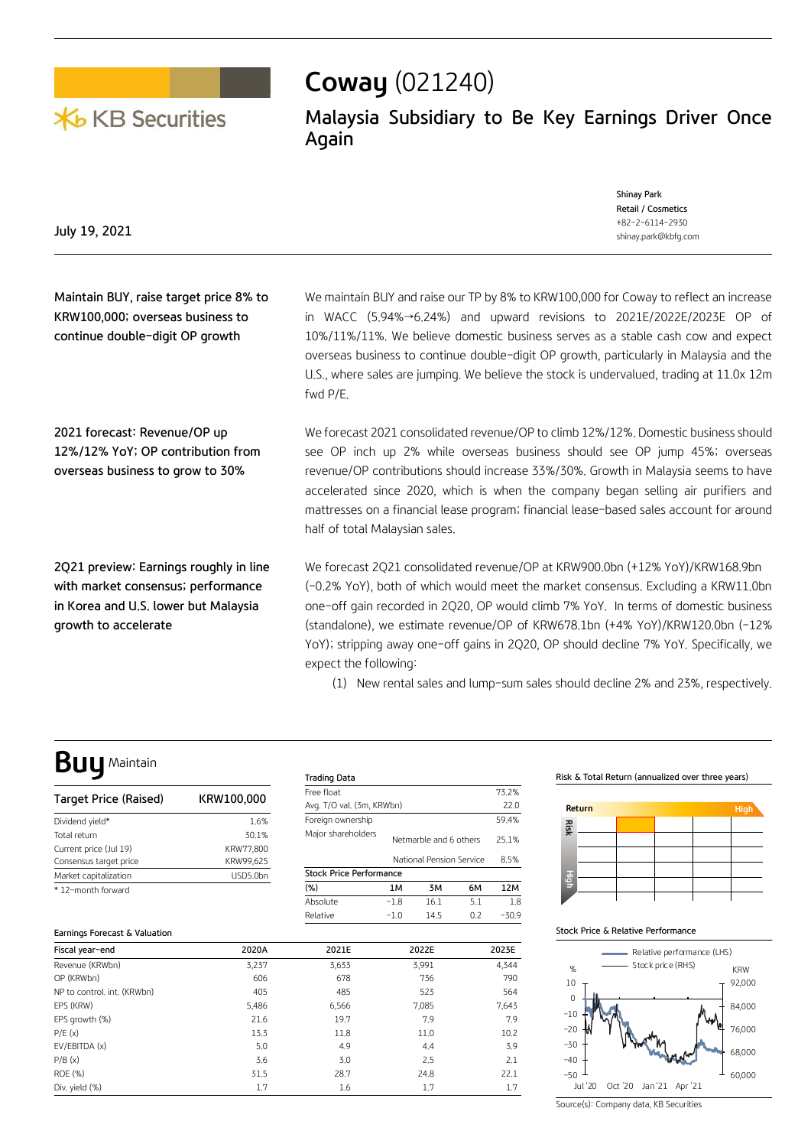**Xb KB Securities** 

# **Coway** (021240)

**Malaysia Subsidiary to Be Key Earnings Driver Once Again**

|               | Shinay Park               |
|---------------|---------------------------|
|               | <b>Retail / Cosmetics</b> |
|               | +82-2-6114-2930           |
| July 19, 2021 | shinay.park@kbfg.com      |
|               |                           |

**Maintain BUY, raise target price 8% to KRW100,000; overseas business to continue double-digit OP growth**

We maintain BUY and raise our TP by 8% to KRW100,000 for Coway to reflect an increase in WACC (5.94%→6.24%) and upward revisions to 2021E/2022E/2023E OP of 10%/11%/11%. We believe domestic business serves as a stable cash cow and expect overseas business to continue double-digit OP growth, particularly in Malaysia and the U.S., where sales are jumping. We believe the stock is undervalued, trading at 11.0x 12m fwd P/E.

**2021 forecast: Revenue/OP up 12%/12% YoY; OP contribution from overseas business to grow to 30%** 

**2Q21 preview: Earnings roughly in line with market consensus; performance in Korea and U.S. lower but Malaysia growth to accelerate**

We forecast 2021 consolidated revenue/OP to climb 12%/12%. Domestic business should see OP inch up 2% while overseas business should see OP jump 45%; overseas revenue/OP contributions should increase 33%/30%. Growth in Malaysia seems to have accelerated since 2020, which is when the company began selling air purifiers and mattresses on a financial lease program; financial lease-based sales account for around half of total Malaysian sales.

We forecast 2Q21 consolidated revenue/OP at KRW900.0bn (+12% YoY)/KRW168.9bn (-0.2% YoY), both of which would meet the market consensus. Excluding a KRW11.0bn one-off gain recorded in 2Q20, OP would climb 7% YoY. In terms of domestic business (standalone), we estimate revenue/OP of KRW678.1bn (+4% YoY)/KRW120.0bn (-12% YoY); stripping away one-off gains in 2Q20, OP should decline 7% YoY. Specifically, we expect the following:

(1) New rental sales and lump-sum sales should decline 2% and 23%, respectively.

# **Buy** Maintain

| <b>Target Price (Raised)</b> | KRW100,000 |
|------------------------------|------------|
| Dividend vield*              | 1.6%       |
| Total return                 | 30.1%      |
| Current price (Jul 19)       | KRW77,800  |
| Consensus target price       | KRW99,625  |
| Market capitalization        | USD5.0bn   |
| * 12-month forward           |            |

### **Earnings Forecast & Valuation**

| Fiscal year-end             | 2020A | 2021E | 2022E | 2023E           |
|-----------------------------|-------|-------|-------|-----------------|
| Revenue (KRWbn)             | 3,237 | 3,633 | 3,991 | 4,344           |
| OP (KRWbn)                  | 606   | 678   | 736   | 79 <sub>C</sub> |
| NP to control, int. (KRWbn) | 405   | 485   | 523   | 564             |
| EPS (KRW)                   | 5,486 | 6,566 | 7,085 | 7,643           |
| EPS growth (%)              | 21.6  | 19.7  | 7.9   | 7.9             |
| P/E(x)                      | 13.3  | 11.8  | 11.0  | 10,2            |
| EV/EBITDA (x)               | 5.0   | 4.9   | 4.4   | 3.9             |
| P/B(x)                      | 3.6   | 3.0   | 2.5   | 2.1             |
| ROE (%)                     | 31.5  | 28.7  | 24.8  | 22,1            |
| Div. yield (%)              | 1.7   | 1.6   | 1.7   | 1.7             |
|                             |       |       |       |                 |

**Trading Data**

**Stock Price Performance**

Free float 73.2% Avg. T/O val. (3m, KRWbn) 22.0 Foreign ownership 59.4% Major shareholders<br>
Netmarble and 6 others 25.1%

**(%) 1M 3M 6M 12M** Absolute -1.8 16.1 5.1 1.8 Relative -1.0 14.5 0.2 -30.9

National Pension Service 8.5%





#### **Stock Price & Relative Performance**



Source(s): Company data, KB Securities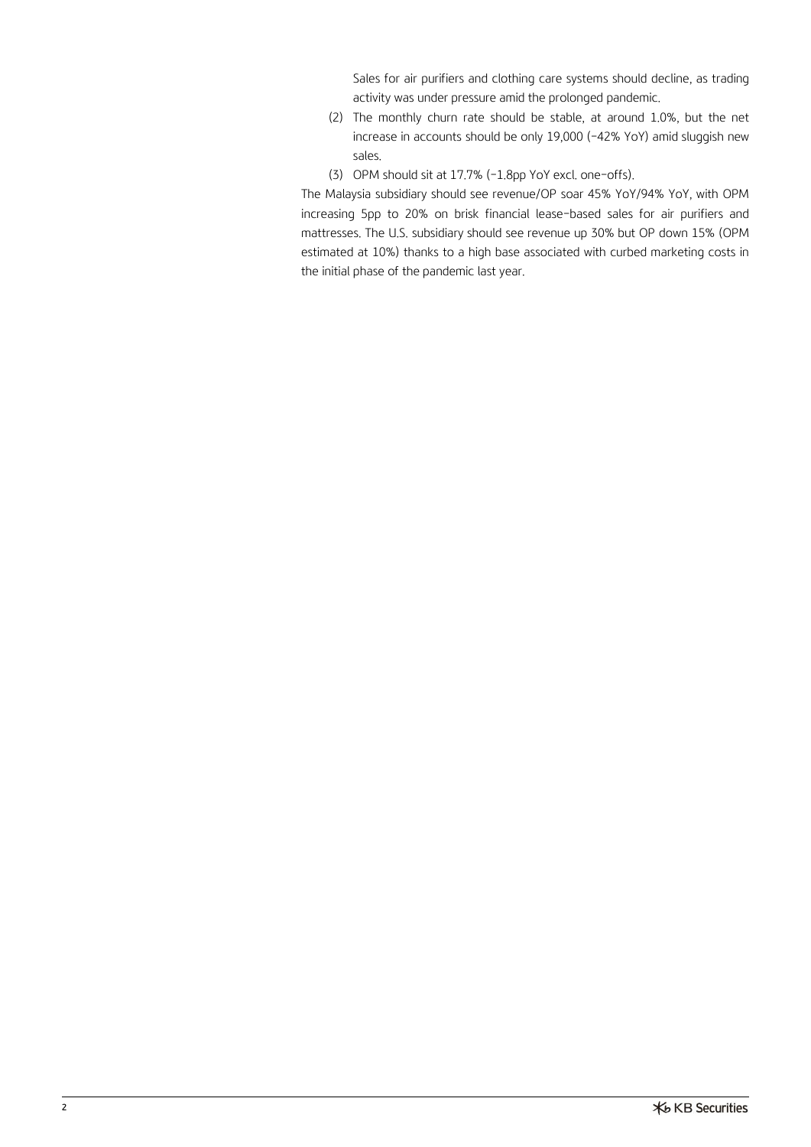Sales for air purifiers and clothing care systems should decline, as trading activity was under pressure amid the prolonged pandemic.

- (2) The monthly churn rate should be stable, at around 1.0%, but the net increase in accounts should be only 19,000 (-42% YoY) amid sluggish new sales.
- (3) OPM should sit at 17.7% (-1.8pp YoY excl. one-offs).

The Malaysia subsidiary should see revenue/OP soar 45% YoY/94% YoY, with OPM increasing 5pp to 20% on brisk financial lease-based sales for air purifiers and mattresses. The U.S. subsidiary should see revenue up 30% but OP down 15% (OPM estimated at 10%) thanks to a high base associated with curbed marketing costs in the initial phase of the pandemic last year.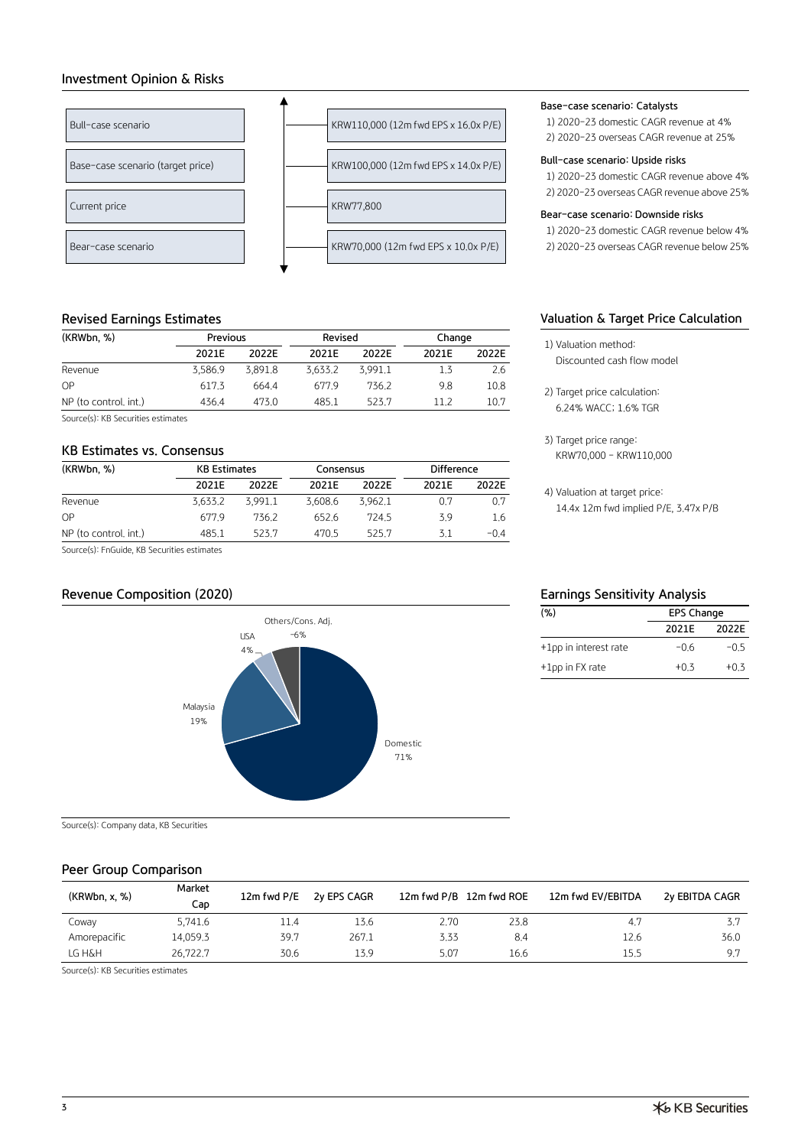# **Investment Opinion & Risks**



# **Revised Earnings Estimates**

|         |         |          |         | Change  |       |  |
|---------|---------|----------|---------|---------|-------|--|
| 2021E   | 2022F   | 2021E    | 2022F   | 2021E   | 2022E |  |
| 3.586.9 | 3.891.8 | 3.633.2  | 3.991.1 | 1.3     | 2.6   |  |
| 617.3   | 664.4   | 6779     | 736.2   | 9.8     | 10.8  |  |
| 436.4   | 473.0   | 485.1    | 523.7   | 11.2    | 10.7  |  |
|         |         | Previous |         | Revised |       |  |

Source(s): KB Securities estimates

### **KB Estimates vs. Consensus**

| (KRWbn, %)            | <b>KB Estimates</b> |         | Consensus |         | Difference |        |  |
|-----------------------|---------------------|---------|-----------|---------|------------|--------|--|
|                       | 2021E               | 2022F   | 2021E     | 2022F   | 2021E      | 2022E  |  |
| Revenue               | 3.633.2             | 3.991.1 | 3.608.6   | 3.962.1 | 0.7        | 0.7    |  |
| OP                    | 677.9               | 736.2   | 652.6     | 724.5   | 3.9        | 1.6    |  |
| NP (to control, int.) | 485.1               | 523.7   | 470.5     | 5257    | 3.1        | $-0.4$ |  |

Source(s): FnGuide, KB Securities estimates

# **Revenue Composition (2020) Earnings Sensitivity Analysis**



Source(s): Company data, KB Securities

# **Peer Group Comparison**

| (KRWbn, x, %) | Market<br>Cap | 12m fwd P/E | 2y EPS CAGR |      | 12m fwd P/B 12m fwd ROE | 12m fwd EV/EBITDA | 2y EBITDA CAGR |
|---------------|---------------|-------------|-------------|------|-------------------------|-------------------|----------------|
| Coway         | 5,741.6       | 11.4        | 13.6        | 2.70 | 23.8                    | 4.7               | 3.7            |
| Amorepacific  | 14.059.3      | 39.7        | 267.1       | 3.33 | 8.4                     | 12.6              | 36.0           |
| LG H&H        | 26.722.7      | 30.6        | 13.9        | 5.07 | 16.6                    | 15.5              | 9.7            |

Source(s): KB Securities estimates

## **Base-case scenario: Catalysts**

1) 2020-23 domestic CAGR revenue at 4% 2) 2020-23 overseas CAGR revenue at 25%

#### **Bull-case scenario: Upside risks**

1) 2020-23 domestic CAGR revenue above 4% 2) 2020-23 overseas CAGR revenue above 25%

### **Bear-case scenario: Downside risks**

1) 2020-23 domestic CAGR revenue below 4% 2) 2020-23 overseas CAGR revenue below 25%

## **Valuation & Target Price Calculation**

- 1) Valuation method: Discounted cash flow model
- 2) Target price calculation: 6.24% WACC; 1.6% TGR
- 3) Target price range: KRW70,000 – KRW110,000
- 4) Valuation at target price: 14.4x 12m fwd implied P/E, 3.47x P/B

| (%)                   | EPS Change |        |  |  |  |  |  |
|-----------------------|------------|--------|--|--|--|--|--|
|                       | 2021F      | 2022E  |  |  |  |  |  |
| +1pp in interest rate | $-06$      | $-0.5$ |  |  |  |  |  |
| +1pp in FX rate       | $+0.3$     | $+0.3$ |  |  |  |  |  |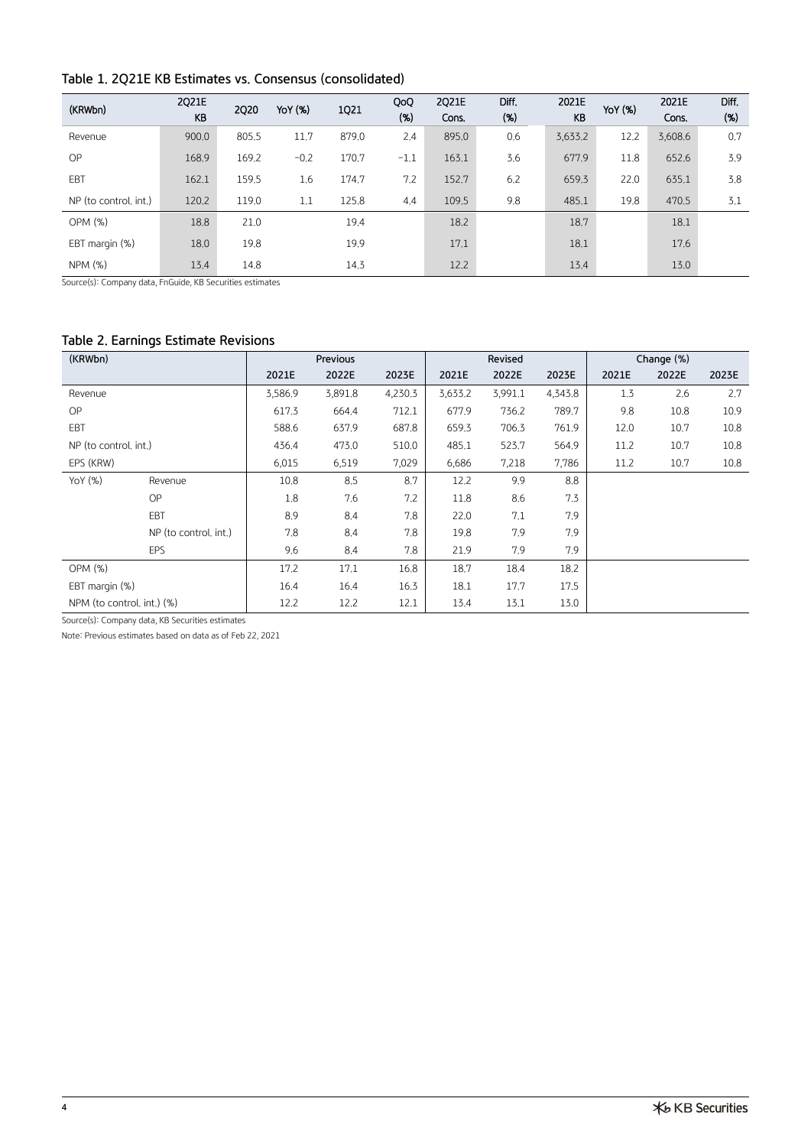# **Table 1. 2Q21E KB Estimates vs. Consensus (consolidated)**

| (KRWbn)               | 2Q21E<br>KB | <b>2Q20</b> | YoY (%) | 1021  | QoQ<br>(%) | 2Q21E<br>Cons. | Diff.<br>(%) | 2021E<br>KB | YoY (%) | 2021E<br>Cons. | Diff.<br>(%) |
|-----------------------|-------------|-------------|---------|-------|------------|----------------|--------------|-------------|---------|----------------|--------------|
| Revenue               | 900.0       | 805.5       | 11.7    | 879.0 | 2,4        | 895.0          | 0.6          | 3,633.2     | 12.2    | 3,608.6        | 0.7          |
| <b>OP</b>             | 168.9       | 169.2       | $-0.2$  | 170.7 | $-1.1$     | 163.1          | 3.6          | 677.9       | 11.8    | 652.6          | 3.9          |
| EBT                   | 162.1       | 159.5       | 1.6     | 174.7 | 7.2        | 152.7          | 6.2          | 659.3       | 22.0    | 635.1          | 3.8          |
| NP (to control. int.) | 120.2       | 119.0       | 1.1     | 125.8 | 4.4        | 109.5          | 9.8          | 485.1       | 19.8    | 470.5          | 3.1          |
| OPM(%)                | 18.8        | 21.0        |         | 19.4  |            | 18.2           |              | 18.7        |         | 18.1           |              |
| EBT margin $(\%)$     | 18.0        | 19.8        |         | 19.9  |            | 17.1           |              | 18.1        |         | 17.6           |              |
| NPM (%)               | 13.4        | 14.8        |         | 14.3  |            | 12.2           |              | 13.4        |         | 13.0           |              |

Source(s): Company data, FnGuide, KB Securities estimates

# **Table 2. Earnings Estimate Revisions**

| (KRWbn)                    |                       |         | Previous |         |         | Revised |         |       | Change (%) |       |  |
|----------------------------|-----------------------|---------|----------|---------|---------|---------|---------|-------|------------|-------|--|
|                            |                       | 2021E   | 2022E    | 2023E   | 2021E   | 2022E   | 2023E   | 2021E | 2022E      | 2023E |  |
| Revenue                    |                       | 3,586.9 | 3,891.8  | 4,230.3 | 3,633,2 | 3,991.1 | 4,343.8 | 1.3   | 2.6        | 2.7   |  |
| OP                         |                       | 617.3   | 664.4    | 712.1   | 677.9   | 736.2   | 789.7   | 9.8   | 10.8       | 10.9  |  |
| EBT                        |                       | 588.6   | 637.9    | 687.8   | 659.3   | 706.3   | 761.9   | 12.0  | 10.7       | 10.8  |  |
| NP (to control, int.)      |                       | 436.4   | 473.0    | 510.0   | 485.1   | 523.7   | 564.9   | 11.2  | 10.7       | 10.8  |  |
| EPS (KRW)                  |                       | 6,015   | 6,519    | 7,029   | 6,686   | 7,218   | 7,786   | 11.2  | 10.7       | 10.8  |  |
| YoY (%)                    | Revenue               | 10.8    | 8.5      | 8.7     | 12.2    | 9.9     | 8.8     |       |            |       |  |
|                            | OP.                   | 1.8     | 7.6      | 7.2     | 11.8    | 8.6     | 7.3     |       |            |       |  |
|                            | EBT                   | 8.9     | 8.4      | 7.8     | 22.0    | 7.1     | 7.9     |       |            |       |  |
|                            | NP (to control, int.) | 7.8     | 8.4      | 7.8     | 19.8    | 7.9     | 7.9     |       |            |       |  |
|                            | EPS                   | 9.6     | 8.4      | 7.8     | 21.9    | 7.9     | 7.9     |       |            |       |  |
| OPM(%)                     |                       | 17.2    | 17.1     | 16.8    | 18.7    | 18.4    | 18.2    |       |            |       |  |
| EBT margin (%)             |                       | 16.4    | 16.4     | 16.3    | 18.1    | 17.7    | 17.5    |       |            |       |  |
| NPM (to control, int.) (%) |                       | 12.2    | 12.2     | 12.1    | 13.4    | 13.1    | 13.0    |       |            |       |  |

Source(s): Company data, KB Securities estimates

Note: Previous estimates based on data as of Feb 22, 2021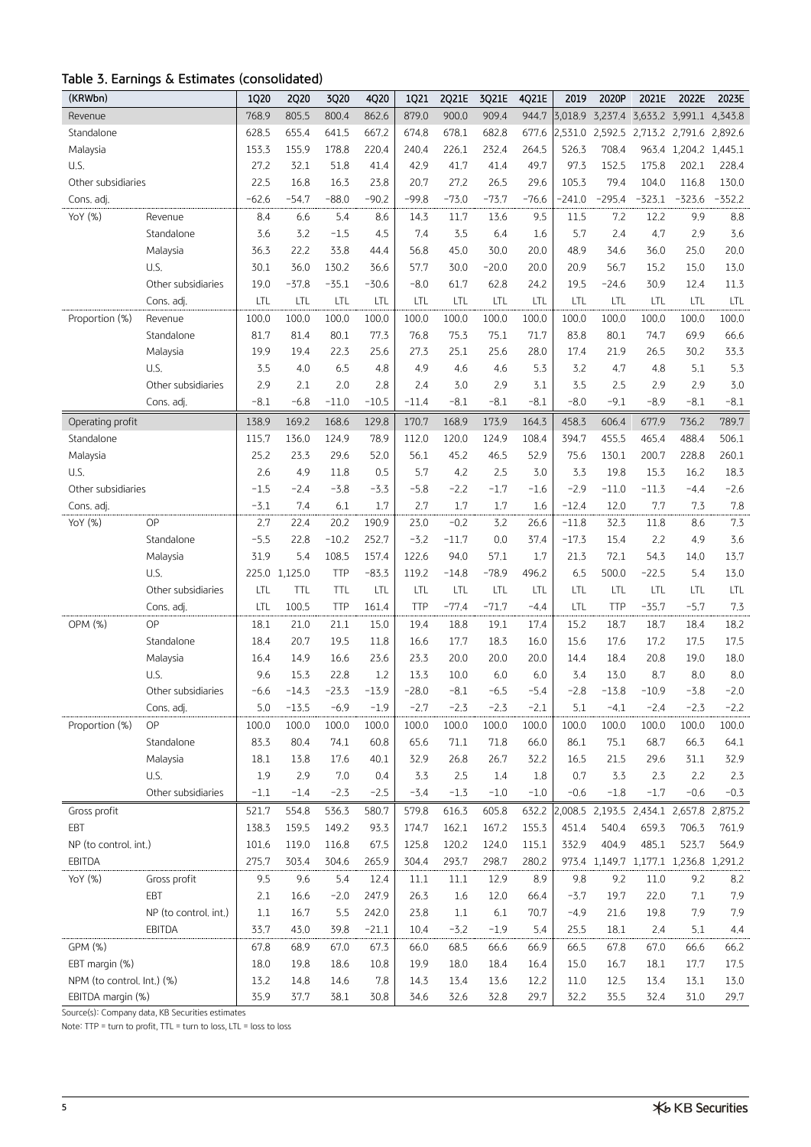# **Table 3. Earnings & Estimates (consolidated)**

| (KRWbn)                    |                       | 1Q20    | <b>2Q20</b>   | 3Q20       | 4Q20    | <b>1Q21</b> | 2Q21E   | 3Q21E   | 4Q21E      | 2019     | 2020P                                   | 2021E           | 2022E                   | 2023E      |
|----------------------------|-----------------------|---------|---------------|------------|---------|-------------|---------|---------|------------|----------|-----------------------------------------|-----------------|-------------------------|------------|
| Revenue                    |                       | 768.9   | 805.5         | 800.4      | 862.6   | 879.0       | 900.0   | 909.4   | 944.7      |          | 3,018.9 3,237.4 3,633.2 3,991.1 4,343.8 |                 |                         |            |
| Standalone                 |                       | 628.5   | 655.4         | 641.5      | 667.2   | 674.8       | 678.1   | 682.8   | 677.6      | 2,531.0  |                                         | 2,592.5 2,713.2 | 2,791.6 2,892.6         |            |
| Malaysia                   |                       | 153.3   | 155.9         | 178.8      | 220.4   | 240.4       | 226.1   | 232.4   | 264.5      | 526.3    | 708.4                                   |                 | 963.4 1,204.2 1,445.1   |            |
| U.S.                       |                       | 27,2    | 32.1          | 51.8       | 41.4    | 42.9        | 41.7    | 41.4    | 49.7       | 97.3     | 152.5                                   | 175.8           | 202.1                   | 228.4      |
| Other subsidiaries         |                       | 22.5    | 16.8          | 16.3       | 23.8    | 20.7        | 27.2    | 26.5    | 29.6       | 105.3    | 79.4                                    | 104.0           | 116.8                   | 130.0      |
| Cons. adj.                 |                       | $-62.6$ | $-54.7$       | $-88.0$    | $-90.2$ | $-99.8$     | $-73.0$ | $-73.7$ | $-76.6$    | $-241.0$ | $-295.4$                                | $-323.1$        | $-323.6$                | $-352.2$   |
| YoY (%)                    | Revenue               | 8.4     | 6.6           | 5.4        | 8.6     | 14.3        | 11.7    | 13.6    | 9.5        | 11.5     | 7.2                                     | 12.2            | 9.9                     | 8.8        |
|                            | Standalone            | 3.6     | 3.2           | $-1.5$     | 4.5     | 7.4         | 3.5     | 6.4     | 1.6        | 5.7      | 2.4                                     | 4.7             | 2.9                     | 3.6        |
|                            | Malaysia              | 36.3    | 22.2          | 33.8       | 44.4    | 56.8        | 45.0    | 30.0    | 20.0       | 48.9     | 34.6                                    | 36.0            | 25.0                    | 20.0       |
|                            | U.S.                  | 30.1    | 36.0          | 130.2      | 36.6    | 57.7        | 30.0    | $-20.0$ | 20.0       | 20.9     | 56.7                                    | 15.2            | 15.0                    | 13.0       |
|                            | Other subsidiaries    | 19.0    | $-37.8$       | $-35.1$    | $-30.6$ | $-8.0$      | 61.7    | 62.8    | 24.2       | 19.5     | $-24.6$                                 | 30.9            | 12.4                    | 11.3       |
|                            | Cons. adj.            | LTL     | LTL           | <b>LTL</b> | LTL     | LTL         | LTL     | LTL     | LTL        | LTL      | LTL                                     | LTL             | LTL                     | <b>LTL</b> |
| Proportion (%)             | Revenue               | 100.0   | 100.0         | 100.0      | 100.0   | 100.0       | 100.0   | 100.0   | 100.0      | 100.0    | 100.0                                   | 100.0           | 100.0                   | 100.0      |
|                            | Standalone            | 81.7    | 81.4          | 80.1       | 77.3    | 76.8        | 75.3    | 75.1    | 71.7       | 83.8     | 80.1                                    | 74.7            | 69.9                    | 66.6       |
|                            | Malaysia              | 19.9    | 19.4          | 22.3       | 25.6    | 27.3        | 25.1    | 25.6    | 28.0       | 17.4     | 21.9                                    | 26.5            | 30.2                    | 33.3       |
|                            | U.S.                  | 3.5     | 4.0           | 6.5        | 4.8     | 4.9         | 4.6     | 4.6     | 5.3        | 3.2      | 4.7                                     | 4.8             | 5.1                     | 5.3        |
|                            | Other subsidiaries    | 2.9     | 2.1           | 2.0        | 2.8     | 2.4         | 3.0     | 2.9     | 3.1        | 3.5      | 2.5                                     | 2.9             | 2.9                     | 3.0        |
|                            | Cons. adj.            | $-8.1$  | $-6.8$        | $-11.0$    | $-10.5$ | $-11.4$     | $-8.1$  | $-8.1$  | $-8.1$     | $-8.0$   | $-9.1$                                  | $-8.9$          | $-8.1$                  | $-8.1$     |
| Operating profit           |                       | 138.9   | 169.2         | 168.6      | 129.8   | 170.7       | 168.9   | 173.9   | 164.3      | 458.3    | 606.4                                   | 677.9           | 736.2                   | 789.7      |
| Standalone                 |                       | 115.7   | 136.0         | 124.9      | 78.9    | 112.0       | 120.0   | 124.9   | 108.4      | 394.7    | 455.5                                   | 465.4           | 488.4                   | 506.1      |
| Malaysia                   |                       | 25.2    | 23.3          | 29.6       | 52.0    | 56.1        | 45.2    | 46.5    | 52.9       | 75.6     | 130.1                                   | 200.7           | 228.8                   | 260.1      |
| U.S.                       |                       | 2.6     | 4.9           | 11.8       | 0.5     | 5.7         | 4.2     | 2.5     | 3.0        | 3.3      | 19.8                                    | 15.3            | 16.2                    | 18.3       |
| Other subsidiaries         |                       | $-1.5$  | $-2.4$        | $-3.8$     | $-3.3$  | $-5.8$      | $-2.2$  | $-1.7$  | $-1.6$     | $-2.9$   | $-11.0$                                 | $-11.3$         | $-4.4$                  | $-2.6$     |
| Cons. adj.                 |                       | $-3.1$  | 7.4           | 6.1        | 1.7     | 2.7         | 1.7     | 1.7     | 1.6        | $-12.4$  | 12.0                                    | 7.7             | 7.3                     | 7.8        |
| YoY (%)                    | OP                    | 2.7     | 22.4          | 20.2       | 190.9   | 23.0        | $-0.2$  | 3.2     | 26.6       | $-11.8$  | 32.3                                    | 11.8            | 8.6                     | 7.3        |
|                            | Standalone            | $-5.5$  | 22.8          | $-10.2$    | 252.7   | $-3.2$      | $-11.7$ | 0.0     | 37.4       | $-17.3$  | 15.4                                    | 2.2             | 4.9                     | 3.6        |
|                            | Malaysia              | 31.9    | 5.4           | 108.5      | 157.4   | 122.6       | 94.0    | 57,1    | 1.7        | 21.3     | 72.1                                    | 54.3            | 14.0                    | 13.7       |
|                            | U.S.                  |         | 225.0 1,125.0 | <b>TTP</b> | $-83.3$ | 119.2       | $-14.8$ | $-78.9$ | 496.2      | 6.5      | 500.0                                   | $-22.5$         | 5.4                     | 13.0       |
|                            | Other subsidiaries    | LTL     | <b>TTL</b>    | <b>TTL</b> | LTL     | LTL         | LTL     | LTL     | <b>LTL</b> | LTL      | LTL                                     | LTL             | LTL                     | LTL        |
|                            | Cons. adj.            | LTL     | 100.5         | <b>TTP</b> | 161.4   | <b>TTP</b>  | $-77.4$ | $-71.7$ | $-4.4$     | LTL      | <b>TTP</b>                              | $-35.7$         | $-5.7$                  | 7.3        |
| OPM (%)                    | OP                    | 18.1    | 21.0          | 21.1       | 15.0    | 19.4        | 18.8    | 19.1    | 17.4       | 15.2     | 18.7                                    | 18.7            | 18.4                    | 18.2       |
|                            | Standalone            | 18.4    | 20.7          | 19.5       | 11.8    | 16.6        | 17.7    | 18.3    | 16.0       | 15.6     | 17.6                                    | 17.2            | 17.5                    | 17.5       |
|                            | Malaysia              | 16.4    | 14.9          | 16.6       | 23.6    | 23.3        | 20.0    | 20.0    | 20.0       | 14.4     | 18.4                                    | 20.8            | 19.0                    | 18.0       |
|                            | U.S.                  | 9.6     | 15.3          | 22.8       | 1.2     | 13.3        | 10.0    | 6.0     | 6.0        | 3.4      | 13.0                                    | 8.7             | 8.0                     | 8.0        |
|                            | Other subsidiaries    | $-6.6$  | $-14.3$       | $-23.3$    | $-13.9$ | $-28.0$     | $-8.1$  | $-6.5$  | $-5.4$     | $-2.8$   | $-13.8$                                 | $-10.9$         | $-3.8$                  | $-2.0$     |
|                            | Cons. adj.            | 5.0     | $-13.5$       | $-6.9$     | $-1.9$  | $-2.7$      | $-2.3$  | $-2.3$  | $-2.1$     | 5.1      | $-4.1$                                  | $-2.4$          | $-2.3$                  | $-2.2$     |
| Proportion (%)             | OP                    | 100.0   | 100.0         | 100.0      | 100.0   | 100.0       | 100.0   | 100.0   | 100.0      | 100.0    | 100.0                                   | 100.0           | 100.0                   | 100.0      |
|                            | Standalone            | 83.3    | 80.4          | 74.1       | 60.8    | 65.6        | 71.1    | 71.8    | 66.0       | 86.1     | 75.1                                    | 68.7            | 66.3                    | 64.1       |
|                            | Malaysia              | 18.1    | 13.8          | 17.6       | 40.1    | 32.9        | 26.8    | 26.7    | 32.2       | 16.5     | 21.5                                    | 29.6            | 31.1                    | 32.9       |
|                            | U.S.                  | 1.9     | 2.9           | 7.0        | 0.4     | 3.3         | 2.5     | 1.4     | 1.8        | 0.7      | 3.3                                     | 2.3             | 2.2                     | 2.3        |
|                            | Other subsidiaries    | $-1.1$  | $-1.4$        | $-2.3$     | $-2.5$  | $-3.4$      | $-1.3$  | $-1.0$  | $-1.0$     | $-0.6$   | $-1.8$                                  | $-1.7$          | $-0.6$                  | $-0.3$     |
| Gross profit               |                       | 521.7   | 554.8         | 536.3      | 580.7   | 579.8       | 616.3   | 605.8   | 632.2      | 2,008.5  | 2,193.5                                 |                 | 2,434.1 2,657.8 2,875.2 |            |
| EBT                        |                       | 138.3   | 159.5         | 149.2      | 93.3    | 174.7       | 162.1   | 167.2   | 155.3      | 451.4    | 540.4                                   | 659.3           | 706.3                   | 761.9      |
| NP (to control, int.)      |                       | 101.6   | 119.0         | 116.8      | 67.5    | 125.8       | 120.2   | 124.0   | 115.1      | 332.9    | 404.9                                   | 485.1           | 523.7                   | 564.9      |
| EBITDA                     |                       | 275.7   | 303.4         | 304.6      | 265.9   | 304.4       | 293.7   | 298.7   | 280.2      |          | 973.4 1,149.7 1,177.1 1,236.8 1,291.2   |                 |                         |            |
| YoY (%)                    | Gross profit          | 9.5     | 9.6           | 5.4        | 12.4    | 11.1        | 11.1    | 12.9    | 8.9        | 9.8      | 9.2                                     | 11.0            | 9.2                     | 8.2        |
|                            | EBT                   | 2.1     | 16.6          | $-2.0$     | 247.9   | 26.3        | 1.6     | 12.0    | 66.4       | $-3.7$   | 19.7                                    | 22.0            | 7.1                     | 7.9        |
|                            | NP (to control. int.) | 1.1     | 16.7          | 5.5        | 242.0   | 23.8        | 1.1     | 6.1     | 70.7       | $-4.9$   | 21.6                                    | 19.8            | 7.9                     | 7.9        |
|                            | EBITDA                | 33.7    | 43.0          | 39.8       | $-21.1$ | 10.4        | $-3.2$  | $-1.9$  | 5.4        | 25.5     | 18.1                                    | 2.4             | 5.1                     | 4.4        |
| GPM(%)                     |                       | 67.8    | 68.9          | 67.0       | 67.3    | 66.0        | 68.5    | 66.6    | 66.9       | 66.5     | 67.8                                    | 67.0            | 66.6                    | 66.2       |
| EBT margin (%)             |                       | 18.0    | 19.8          | 18.6       | 10.8    | 19.9        | 18.0    | 18.4    | 16.4       | 15.0     | 16.7                                    | 18.1            | 17.7                    | 17.5       |
| NPM (to control. Int.) (%) |                       | 13.2    | 14.8          | 14.6       | 7.8     | 14.3        | 13.4    | 13.6    | 12.2       | 11.0     | 12.5                                    | 13.4            | 13.1                    | 13.0       |
| EBITDA margin (%)          |                       | 35.9    | 37.7          | 38.1       | 30.8    | 34.6        | 32.6    | 32.8    | 29.7       | 32.2     | 35.5                                    | 32.4            | 31.0                    | 29.7       |

Source(s): Company data, KB Securities estimates

Note: TTP = turn to profit, TTL = turn to loss, LTL = loss to loss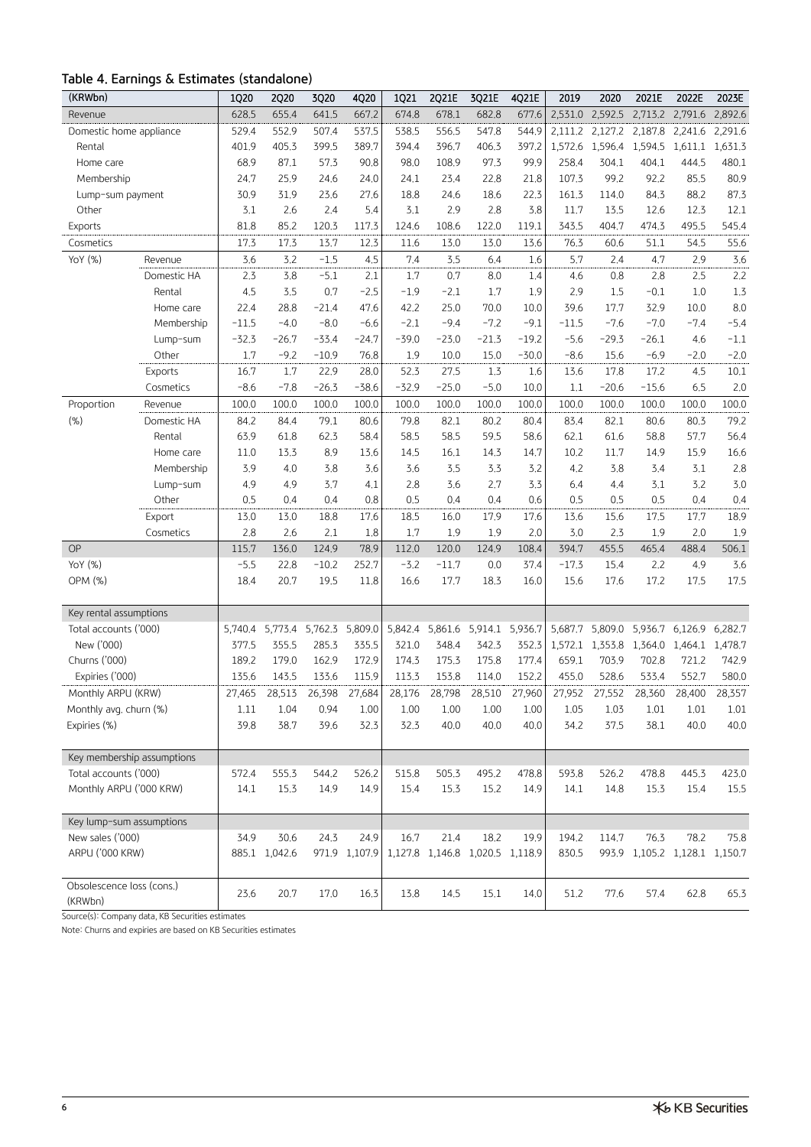# **Table 4. Earnings & Estimates (standalone)**

| (KRWbn)                   |                            | 1Q20    | <b>2Q20</b>   | 3Q20    | 4Q20          | 1Q21    | 2Q21E   | 3Q21E                           | 4Q21E   | 2019    | 2020                    | 2021E                         | 2022E           | 2023E           |
|---------------------------|----------------------------|---------|---------------|---------|---------------|---------|---------|---------------------------------|---------|---------|-------------------------|-------------------------------|-----------------|-----------------|
| Revenue                   |                            | 628.5   | 655.4         | 641.5   | 667.2         | 674.8   | 678.1   | 682.8                           | 677.6   |         | 2,531,0 2,592,5         |                               | 2,713.2 2,791.6 | 2,892.6         |
| Domestic home appliance   |                            | 529.4   | 552.9         | 507.4   | 537.5         | 538.5   | 556.5   | 547.8                           | 544.9   |         | 2,111.2 2,127.2 2,187.8 |                               | 2,241.6         | 2,291.6         |
| Rental                    |                            | 401.9   | 405.3         | 399.5   | 389.7         | 394.4   | 396.7   | 406.3                           | 397.2   |         | 1,572.6 1,596.4 1,594.5 |                               |                 | 1,611.1 1,631.3 |
| Home care                 |                            | 68.9    | 87.1          | 57.3    | 90.8          | 98.0    | 108.9   | 97.3                            | 99.9    | 258.4   | 304.1                   | 404.1                         | 444.5           | 480.1           |
| Membership                |                            | 24.7    | 25.9          | 24.6    | 24.0          | 24.1    | 23.4    | 22.8                            | 21.8    | 107.3   | 99.2                    | 92.2                          | 85.5            | 80.9            |
| Lump-sum payment          |                            | 30.9    | 31.9          | 23.6    | 27.6          | 18.8    | 24.6    | 18.6                            | 22.3    | 161.3   | 114.0                   | 84.3                          | 88.2            | 87.3            |
| Other                     |                            | 3.1     | 2.6           | 2.4     | 5.4           | 3.1     | 2.9     | 2.8                             | 3.8     | 11.7    | 13.5                    | 12.6                          | 12.3            | 12.1            |
| Exports                   |                            | 81.8    | 85.2          | 120.3   | 117.3         | 124.6   | 108.6   | 122.0                           | 119.1   | 343.5   | 404.7                   | 474.3                         | 495.5           | 545.4           |
| Cosmetics                 |                            | 17.3    | 17.3          | 13.7    | 12.3          | 11.6    | 13.0    | 13.0                            | 13.6    | 76.3    | 60.6                    | 51.1                          | 54.5            | 55.6            |
| YoY (%)                   | Revenue                    | 3.6     | 3.2           | $-1.5$  | 4.5           | 7.4     | 3.5     | 6.4                             | 1.6     | 5.7     | 2.4                     | 4.7                           | 2.9             | 3.6             |
|                           | Domestic HA                | 2.3     | 3.8           | $-5.1$  | 2.1           | 1.7     | 0.7     | 8.0                             | 1.4     | 4.6     | 0.8                     | 2.8                           | 2.5             | 2.2             |
|                           | Rental                     | 4.5     | 3.5           | 0.7     | $-2.5$        | $-1.9$  | $-2.1$  | 1.7                             | 1.9     | 2.9     | 1.5                     | $-0.1$                        | 1.0             | 1.3             |
|                           | Home care                  | 22.4    | 28.8          | $-21.4$ | 47.6          | 42.2    | 25.0    | 70.0                            | 10.0    | 39.6    | 17.7                    | 32.9                          | 10.0            | 8.0             |
|                           | Membership                 | $-11.5$ | $-4.0$        | $-8.0$  | $-6.6$        | $-2.1$  | $-9.4$  | $-7.2$                          | $-9.1$  | $-11.5$ | $-7.6$                  | $-7.0$                        | $-7.4$          | $-5.4$          |
|                           | Lump-sum                   | $-32.3$ | $-26.7$       | $-33.4$ | $-24.7$       | $-39.0$ | $-23.0$ | -21.3                           | $-19.2$ | $-5.6$  | $-29.3$                 | $-26.1$                       | 4.6             | $-1.1$          |
|                           | Other                      | 1.7     | $-9.2$        | $-10.9$ | 76.8          | 1.9     | 10.0    | 15.0                            | $-30.0$ | $-8.6$  | 15.6                    | $-6.9$                        | $-2.0$          | $-2.0$          |
|                           | Exports                    | 16.7    | 1.7           | 22.9    | 28.0          | 52.3    | 27.5    | 1.3                             | 1.6     | 13.6    | 17.8                    | 17.2                          | 4.5             | 10.1            |
|                           | Cosmetics                  | $-8.6$  | $-7.8$        | $-26.3$ | $-38.6$       | $-32.9$ | $-25.0$ | $-5.0$                          | 10.0    | 1,1     | $-20.6$                 | $-15.6$                       | 6.5             | 2.0             |
| Proportion                | Revenue                    | 100.0   | 100.0         | 100.0   | 100.0         | 100.0   | 100.0   | 100.0                           | 100.0   | 100.0   | 100.0                   | 100.0                         | 100.0           | 100.0           |
| (% )                      | Domestic HA                | 84.2    | 84.4          | 79.1    | 80.6          | 79.8    | 82.1    | 80.2                            | 80.4    | 83.4    | 82.1                    | 80.6                          | 80.3            | 79.2            |
|                           | Rental                     | 63.9    | 61.8          | 62.3    | 58.4          | 58.5    | 58.5    | 59.5                            | 58.6    | 62.1    | 61.6                    | 58.8                          | 57.7            | 56.4            |
|                           | Home care                  | 11.0    | 13.3          | 8.9     | 13.6          | 14.5    | 16.1    | 14.3                            | 14.7    | 10.2    | 11.7                    | 14.9                          | 15.9            | 16.6            |
|                           | Membership                 | 3.9     | 4.0           | 3.8     | 3.6           | 3.6     | 3.5     | 3.3                             | 3.2     | 4.2     | 3.8                     | 3.4                           | 3.1             | 2.8             |
|                           | Lump-sum                   | 4.9     | 4.9           | 3.7     | 4.1           | 2.8     | 3.6     | 2.7                             | 3.3     | 6.4     | 4.4                     | 3.1                           | 3.2             | 3.0             |
|                           | Other                      | 0.5     | 0.4           | 0.4     | 0.8           | 0.5     | 0.4     | 0,4                             | 0.6     | 0.5     | 0.5                     | 0.5                           | 0.4             | 0.4             |
|                           | Export                     | 13.0    | 13.0          | 18.8    | 17.6          | 18.5    | 16.0    | 17.9                            | 17.6    | 13.6    | 15.6                    | 17.5                          | 17.7            | 18.9            |
|                           | Cosmetics                  | 2.8     | 2.6           | 2.1     | 1.8           | 1.7     | 1.9     | 1.9                             | 2.0     | 3.0     | 2.3                     | 1.9                           | 2.0             | 1.9             |
| OP                        |                            | 115.7   | 136.0         | 124.9   | 78.9          | 112.0   | 120.0   | 124.9                           | 108.4   | 394.7   | 455.5                   | 465.4                         | 488.4           | 506.1           |
| YoY (%)                   |                            | $-5.5$  | 22.8          | $-10.2$ | 252.7         | $-3.2$  | $-11.7$ | 0.0                             | 37.4    | $-17.3$ | 15.4                    | 2.2                           | 4.9             | 3.6             |
| OPM (%)                   |                            | 18.4    | 20.7          | 19.5    | 11.8          | 16.6    | 17.7    | 18.3                            | 16.0    | 15.6    | 17.6                    | 17.2                          | 17.5            | 17.5            |
|                           |                            |         |               |         |               |         |         |                                 |         |         |                         |                               |                 |                 |
| Key rental assumptions    |                            |         |               |         |               |         |         |                                 |         |         |                         |                               |                 |                 |
| Total accounts ('000)     |                            | 5,740.4 | 5,773.4       | 5,762.3 | 5,809.0       | 5,842,4 | 5,861.6 | 5,914,1 5,936.7                 |         | 5,687.7 | 5,809.0                 | 5,936.7                       | 6,126.9         | 6,282.7         |
| New ('000)                |                            | 377.5   | 355.5         | 285.3   | 335.5         | 321.0   | 348.4   | 342.3                           | 352.3   |         | 1,572.1 1,353.8 1,364.0 |                               |                 | 1,464.1 1,478.7 |
| Churns ('000)             |                            | 189.2   | 179.0         | 162.9   | 172.9         | 174.3   | 175.3   | 175.8                           | 177.4   | 659.1   | 703.9                   | 702.8                         | 721.2           | 742.9           |
| Expiries ('000)           |                            | 135.6   | 143.5         | 133.6   | 115.9         | 113.3   | 153.8   | 114.0                           | 152.2   | 455.0   | 528.6                   | 533.4                         | 552.7           | 580.0           |
| Monthly ARPU (KRW)        |                            | 27,465  | 28,513        | 26,398  | 27,684        | 28,176  | 28,798  | 28,510                          | 27,960  | 27,952  | 27,552                  | 28,360                        | 28,400          | 28,357          |
| Monthly avg. churn (%)    |                            | 1.11    | 1.04          | 0.94    | 1.00          | 1.00    | 1.00    | 1.00                            | 1.00    | 1.05    | 1.03                    | 1.01                          | 1.01            | 1.01            |
| Expiries (%)              |                            | 39.8    | 38.7          | 39.6    | 32.3          | 32.3    | 40.0    | 40.0                            | 40.0    | 34.2    | 37.5                    | 38.1                          | 40.0            | 40.0            |
|                           |                            |         |               |         |               |         |         |                                 |         |         |                         |                               |                 |                 |
| Total accounts ('000)     | Key membership assumptions | 572.4   | 555.3         | 544.2   | 526.2         | 515.8   | 505.3   | 495.2                           | 478.8   | 593.8   | 526.2                   | 478.8                         | 445.3           | 423.0           |
| Monthly ARPU ('000 KRW)   |                            | 14.1    | 15.3          | 14.9    | 14.9          | 15.4    | 15.3    | 15.2                            | 14.9    | 14.1    | 14.8                    | 15.3                          | 15.4            | 15.5            |
|                           |                            |         |               |         |               |         |         |                                 |         |         |                         |                               |                 |                 |
| Key lump-sum assumptions  |                            |         |               |         |               |         |         |                                 |         |         |                         |                               |                 |                 |
| New sales ('000)          |                            | 34.9    | 30.6          | 24.3    | 24.9          | 16.7    | 21.4    | 18.2                            | 19.9    | 194.2   | 114.7                   | 76.3                          | 78.2            | 75.8            |
| ARPU ('000 KRW)           |                            |         | 885.1 1,042.6 |         | 971.9 1,107.9 |         |         | 1,127.8 1,146.8 1,020.5 1,118.9 |         | 830.5   |                         | 993.9 1,105.2 1,128.1 1,150.7 |                 |                 |
| Obsolescence loss (cons.) |                            |         |               |         |               |         |         |                                 |         |         |                         |                               |                 |                 |
| (KRWbn)                   |                            | 23.6    | 20.7          | 17.0    | 16.3          | 13.8    | 14.5    | 15.1                            | 14.0    | 51.2    | 77.6                    | 57.4                          | 62.8            | 65.3            |

Source(s): Company data, KB Securities estimates

Note: Churns and expiries are based on KB Securities estimates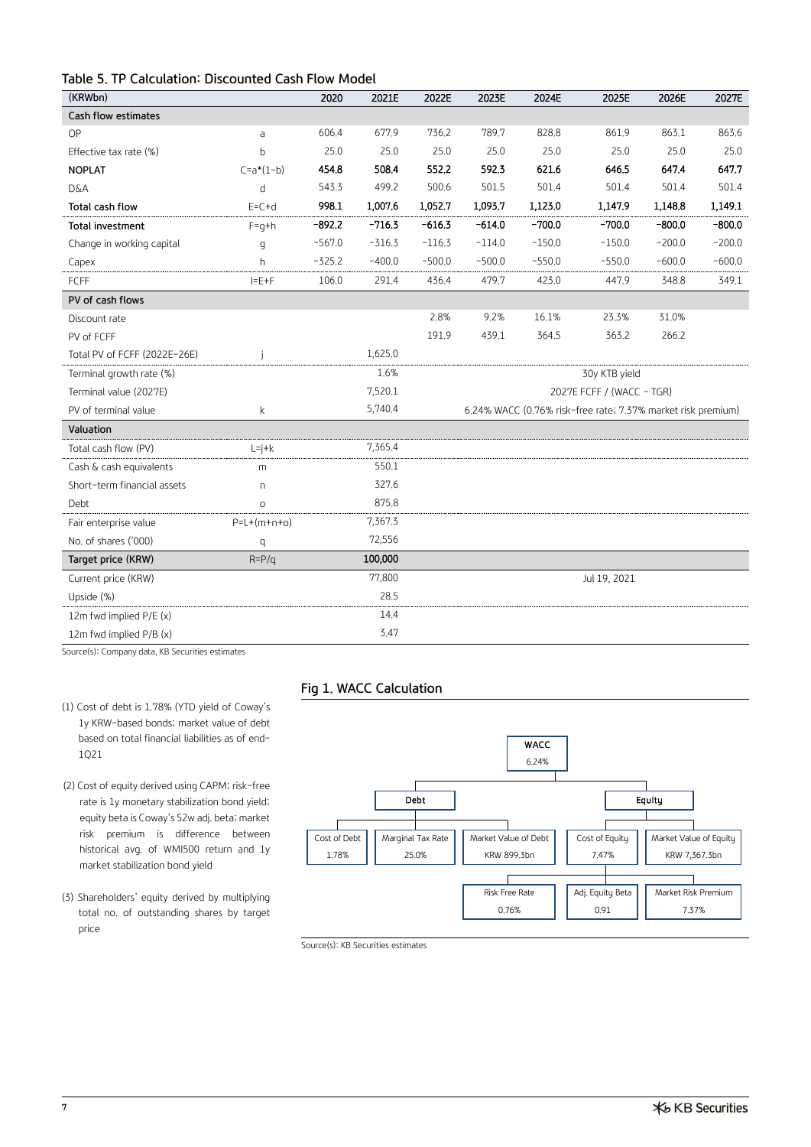# **Table 5. TP Calculation: Discounted Cash Flow Model**

| (KRWbn)                      |               | 2020     | 2021E    | 2022E    | 2023E    | 2024E    | 2025E                                                        | 2026E    | 2027E    |
|------------------------------|---------------|----------|----------|----------|----------|----------|--------------------------------------------------------------|----------|----------|
| Cash flow estimates          |               |          |          |          |          |          |                                                              |          |          |
| OP                           | a             | 606.4    | 677.9    | 736.2    | 789.7    | 828.8    | 861.9                                                        | 863.1    | 863.6    |
| Effective tax rate (%)       | h.            | 25.0     | 25.0     | 25.0     | 25.0     | 25.0     | 25.0                                                         | 25.0     | 25.0     |
| <b>NOPLAT</b>                | $C=a*(1-b)$   | 454,8    | 508.4    | 552,2    | 592.3    | 621.6    | 646.5                                                        | 647.4    | 647.7    |
| D&A                          | d             | 543.3    | 499.2    | 500.6    | 501.5    | 501.4    | 501.4                                                        | 501.4    | 501.4    |
| Total cash flow              | $E=C+d$       | 998.1    | 1,007.6  | 1,052.7  | 1,093.7  | 1,123.0  | 1,147.9                                                      | 1,148.8  | 1,149.1  |
| <b>Total investment</b>      | $F=q+h$       | $-892.2$ | $-716.3$ | $-616.3$ | $-614.0$ | $-700.0$ | $-700.0$                                                     | $-800.0$ | $-800.0$ |
| Change in working capital    | q             | $-567.0$ | $-316.3$ | $-116.3$ | $-114.0$ | $-150.0$ | $-150.0$                                                     | $-200.0$ | $-200.0$ |
| Capex                        | h.            | $-325.2$ | $-400.0$ | $-500.0$ | $-500.0$ | $-550.0$ | $-550.0$                                                     | $-600.0$ | $-600.0$ |
| <b>FCFF</b>                  | $I = E + F$   | 106.0    | 291.4    | 436.4    | 479.7    | 423.0    | 447.9                                                        | 348.8    | 349.1    |
| PV of cash flows             |               |          |          |          |          |          |                                                              |          |          |
| Discount rate                |               |          |          | 2.8%     | 9.2%     | 16.1%    | 23.3%                                                        | 31.0%    |          |
| PV of FCFF                   |               |          |          | 191.9    | 439.1    | 364.5    | 363.2                                                        | 266.2    |          |
| Total PV of FCFF (2022E-26E) |               |          | 1,625.0  |          |          |          |                                                              |          |          |
| Terminal growth rate (%)     |               |          | 1.6%     |          |          |          | 30y KTB yield                                                |          |          |
| Terminal value (2027E)       |               |          | 7,520.1  |          |          |          | 2027E FCFF / (WACC - TGR)                                    |          |          |
| PV of terminal value         | k             |          | 5,740.4  |          |          |          | 6.24% WACC (0.76% risk-free rate; 7.37% market risk premium) |          |          |
| Valuation                    |               |          |          |          |          |          |                                                              |          |          |
| Total cash flow (PV)         | $L = j + k$   |          | 7,365.4  |          |          |          |                                                              |          |          |
| Cash & cash equivalents      | m             |          | 550.1    |          |          |          |                                                              |          |          |
| Short-term financial assets  | U.            |          | 327.6    |          |          |          |                                                              |          |          |
| Debt                         | $\circ$       |          | 875.8    |          |          |          |                                                              |          |          |
| Fair enterprise value        | $P=L+(m+n+o)$ |          | 7,367.3  |          |          |          |                                                              |          |          |
| No. of shares ('000)         | q             |          | 72,556   |          |          |          |                                                              |          |          |
| Target price (KRW)           | $R = P/q$     |          | 100,000  |          |          |          |                                                              |          |          |
| Current price (KRW)          |               |          | 77,800   |          |          |          | Jul 19, 2021                                                 |          |          |
| Upside (%)                   |               |          | 28.5     |          |          |          |                                                              |          |          |
| 12m fwd implied P/E (x)      |               |          | 14.4     |          |          |          |                                                              |          |          |
| 12m fwd implied P/B (x)      |               |          | 3.47     |          |          |          |                                                              |          |          |

Source(s): Company data, KB Securities estimates

(1) Cost of debt is 1.78% (YTD yield of Coway's 1y KRW-based bonds; market value of debt based on total financial liabilities as of end-

(2) Cost of equity derived using CAPM; risk-free rate is 1y monetary stabilization bond yield; equity beta is Coway's 52w adj. beta; market risk premium is difference between historical avg. of WMI500 return and 1y

(3) Shareholders' equity derived by multiplying total no. of outstanding shares by target

market stabilization bond yield

1Q21

price

# **Fig 1. WACC Calculation**



Source(s): KB Securities estimates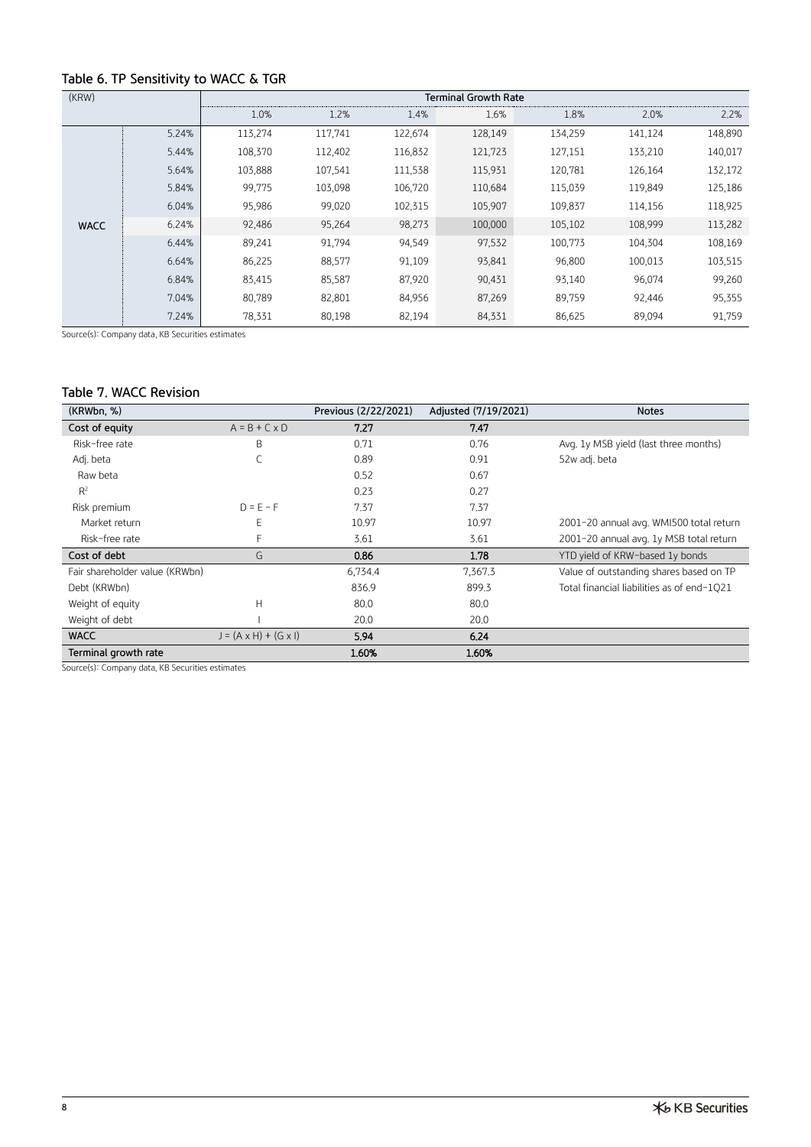# **Table 6. TP Sensitivity to WACC & TGR**

| (KRW)       |       | <b>Terminal Growth Rate</b> |         |         |         |         |         |         |  |  |  |
|-------------|-------|-----------------------------|---------|---------|---------|---------|---------|---------|--|--|--|
|             |       | 1.0%                        | 1,2%    | 1.4%    | 1.6%    | 1.8%    | 2.0%    | 2.2%    |  |  |  |
|             | 5.24% | 113,274                     | 117,741 | 122,674 | 128,149 | 134,259 | 141,124 | 148,890 |  |  |  |
|             | 5.44% | 108,370                     | 112,402 | 116,832 | 121,723 | 127,151 | 133,210 | 140,017 |  |  |  |
|             | 5.64% | 103,888                     | 107,541 | 111,538 | 115,931 | 120,781 | 126,164 | 132,172 |  |  |  |
|             | 5.84% | 99,775                      | 103,098 | 106,720 | 110,684 | 115,039 | 119,849 | 125,186 |  |  |  |
|             | 6.04% | 95,986                      | 99,020  | 102,315 | 105,907 | 109,837 | 114,156 | 118,925 |  |  |  |
| <b>WACC</b> | 6.24% | 92,486                      | 95,264  | 98,273  | 100,000 | 105,102 | 108,999 | 113,282 |  |  |  |
|             | 6.44% | 89,241                      | 91,794  | 94,549  | 97,532  | 100,773 | 104,304 | 108,169 |  |  |  |
|             | 6.64% | 86,225                      | 88,577  | 91,109  | 93,841  | 96,800  | 100,013 | 103,515 |  |  |  |
|             | 6.84% | 83,415                      | 85,587  | 87,920  | 90,431  | 93,140  | 96,074  | 99,260  |  |  |  |
|             | 7.04% | 80,789                      | 82,801  | 84,956  | 87,269  | 89,759  | 92,446  | 95,355  |  |  |  |
|             | 7,24% | 78,331                      | 80,198  | 82,194  | 84,331  | 86,625  | 89,094  | 91,759  |  |  |  |

Source(s): Company data, KB Securities estimates

# **Table 7. WACC Revision**

| (KRWbn, %)                     |                                   | Previous (2/22/2021) | Adjusted (7/19/2021) | <b>Notes</b>                               |
|--------------------------------|-----------------------------------|----------------------|----------------------|--------------------------------------------|
| Cost of equity                 | $A = B + C \times D$              | 7.27                 | 7.47                 |                                            |
| Risk-free rate                 | B                                 | 0.71                 | 0.76                 | Avg. 1y MSB yield (last three months)      |
| Adj. beta                      | C                                 | 0.89                 | 0.91                 | 52w adj. beta                              |
| Raw beta                       |                                   | 0.52                 | 0.67                 |                                            |
| $R^2$                          |                                   | 0.23                 | 0.27                 |                                            |
| Risk premium                   | $D = E - F$                       | 7.37                 | 7.37                 |                                            |
| Market return                  | E                                 | 10.97                | 10.97                | 2001-20 annual avg. WMI500 total return    |
| Risk-free rate                 | F                                 | 3.61                 | 3.61                 | 2001-20 annual avg. 1y MSB total return    |
| Cost of debt                   | G                                 | 0.86                 | 1.78                 | YTD yield of KRW-based 1y bonds            |
| Fair shareholder value (KRWbn) |                                   | 6,734.4              | 7,367.3              | Value of outstanding shares based on TP    |
| Debt (KRWbn)                   |                                   | 836.9                | 899.3                | Total financial liabilities as of end-1021 |
| Weight of equity               | H                                 | 80.0                 | 80.0                 |                                            |
| Weight of debt                 |                                   | 20.0                 | 20,0                 |                                            |
| <b>WACC</b>                    | $J = (A \times H) + (G \times I)$ | 5.94                 | 6.24                 |                                            |
| Terminal growth rate           |                                   | 1,60%                | 1.60%                |                                            |

Source(s): Company data, KB Securities estimates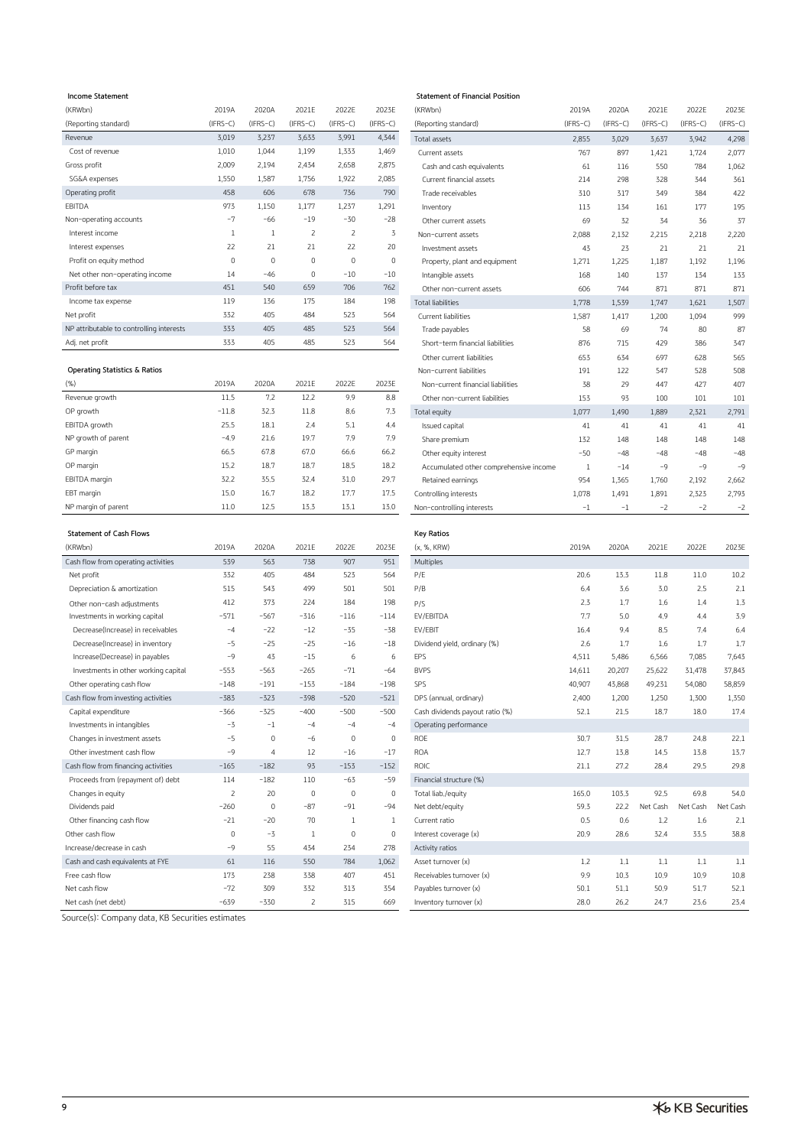| (KRWbn)                                  | 2019A       | 2020A      | 2021E          | 2022E          | 2023E        | (KRWbn)                          | 2019A      | 2020A      | 2021E    | 2022E      | 2023E   |
|------------------------------------------|-------------|------------|----------------|----------------|--------------|----------------------------------|------------|------------|----------|------------|---------|
| (Reporting standard)                     | $(IFRS-C)$  | $(IFRS-C)$ | $(IFRS-C)$     | $(IFRS-C)$     | $(IFRS-C)$   | (Reporting standard)             | $(IFRS-C)$ | $(IFRS-C)$ | (IFRS-C) | $(IFRS-C)$ | (IFRS-C |
| Revenue                                  | 3,019       | 3,237      | 3,633          | 3,991          | 4,344        | Total assets                     | 2,855      | 3,029      | 3,637    | 3,942      | 4,298   |
| Cost of revenue                          | 1,010       | 1,044      | 1,199          | 1,333          | 1,469        | Current assets                   | 767        | 897        | 1,421    | 1,724      | 2,077   |
| Gross profit                             | 2,009       | 2,194      | 2,434          | 2,658          | 2,875        | Cash and cash equivalents        | 61         | 116        | 550      | 784        | 1,062   |
| SG&A expenses                            | 1,550       | 1,587      | 1,756          | 1,922          | 2,085        | Current financial assets         | 214        | 298        | 328      | 344        | 361     |
| Operating profit                         | 458         | 606        | 678            | 736            | 790          | Trade receivables                | 310        | 317        | 349      | 384        | 422     |
| EBITDA                                   | 973         | 1,150      | 1,177          | 1,237          | 1,291        | Inventory                        | 113        | 134        | 161      | 177        | 195     |
| Non-operating accounts                   | $-7$        | $-66$      | $-19$          | $-30$          | $-28$        | Other current assets             | 69         | 32         | 34       | 36         | 37      |
| Interest income                          | 1           |            | $\overline{2}$ | $\overline{2}$ | 3            | Non-current assets               | 2,088      | 2,132      | 2,215    | 2,218      | 2,220   |
| Interest expenses                        | 22          | 21         | 21             | 22             | 20           | Investment assets                | 43         | 23         | 21       | 21         | 21      |
| Profit on equity method                  | $\mathbf 0$ | $\Omega$   | $\Omega$       | $\Omega$       | $\mathbf{0}$ | Property, plant and equipment    | 1,271      | 1,225      | 1,187    | 1,192      | 1,196   |
| Net other non-operating income           | 14          | $-46$      | $\mathbf 0$    | $-10$          | $-10$        | Intangible assets                | 168        | 140        | 137      | 134        | 133     |
| Profit before tax                        | 451         | 540        | 659            | 706            | 762          | Other non-current assets         | 606        | 744        | 871      | 871        | 871     |
| Income tax expense                       | 119         | 136        | 175            | 184            | 198          | <b>Total liabilities</b>         | 1,778      | 1,539      | 1,747    | 1,621      | 1,507   |
| Net profit                               | 332         | 405        | 484            | 523            | 564          | Current liabilities              | 1,587      | 1,417      | 1,200    | 1,094      | 999     |
| NP attributable to controlling interests | 333         | 405        | 485            | 523            | 564          | Trade payables                   | 58         | 69         | 74       | 80         | 87      |
| Adj net profit                           | 333         | 405        | 485            | 523            | 564          | Short-term financial liabilities | 876        | 715        | A29      | 386        | 345     |

#### **Operating Statistics & Ratios**

| (% )                | 2019A   | 2020A | 2021E | 2022E | 2023E | Non-current financial liabilities      | 38    | 29    | 447   | 427   | 407            |
|---------------------|---------|-------|-------|-------|-------|----------------------------------------|-------|-------|-------|-------|----------------|
| Revenue growth      | 11.5    | 7.2   | 12.2  | 9.9   | 8.8   | Other non-current liabilities          | 153   | 93    | 100   | 101   | 101            |
| OP growth           | $-11.8$ | 32.3  | 11.8  | 8.6   | 7.3   | Total equity                           | 1,077 | 1,490 | 1,889 | 2,321 | 2,791          |
| EBITDA growth       | 25.5    | 18.1  | 2.4   | 5.1   | 4,4   | Issued capital                         | 41    | 41    | 41    | 41    | 41             |
| NP growth of parent | $-4,9$  | 21.6  | 19.7  | 7.9   | 7.9   | Share premium                          | 132   | 148   | 148   | 148   | 148            |
| GP margin           | 66.5    | 67.8  | 67.0  | 66.6  | 66.2  | Other equity interest                  | $-50$ | $-48$ | $-48$ | $-48$ | $-48$          |
| OP margin           | 15.2    | 18.7  | 18.7  | 18.5  | 18.2  | Accumulated other comprehensive income |       | $-14$ | $-9$  | $-9$  | $-\frac{6}{5}$ |
| EBITDA margin       | 32.2    | 35.5  | 32.4  | 31.0  | 29.7  | Retained earnings                      | 954   | 1,365 | 1,760 | 2,192 | 2,662          |
| EBT margin          | 15.0    | 16.7  | 18.2  | 17.7  | 17.5  | Controlling interests                  | 1,078 | 1,491 | 1,891 | 2,323 | 2,793          |
| NP margin of parent | 11.0    | 12.5  | 13.3  | 13.1  | 13.0  | Non-controlling interests              | - 1   | ÷     | $-2$  | $-2$  | -7             |

#### **Statement of Cash Flows Key Ratios**

| (KRWbn)                              | 2019A          | 2020A          | 2021E          | 2022E            | 2023E        | (x, %, KRW)                     | 2019A  | 2020A  | 2021E    | 2022E    | 2023E    |
|--------------------------------------|----------------|----------------|----------------|------------------|--------------|---------------------------------|--------|--------|----------|----------|----------|
| Cash flow from operating activities  | 539            | 563            | 738            | 907              | 951          | Multiples                       |        |        |          |          |          |
| Net profit                           | 332            | 405            | 484            | 523              | 564          | P/E                             | 20.6   | 13.3   | 11.8     | 11.0     | 10.2     |
| Depreciation & amortization          | 515            | 543            | 499            | 501              | 501          | P/B                             | 6.4    | 3.6    | 3,0      | 2.5      | 2,1      |
| Other non-cash adjustments           | 412            | 373            | 224            | 184              | 198          | P/S                             | 2.3    | 1.7    | 1.6      | 1.4      | 1.3      |
| Investments in working capital       | $-571$         | $-567$         | $-316$         | $-116$           | $-114$       | EV/EBITDA                       | 7.7    | 5.0    | 4,9      | 4,4      | 3.9      |
| Decrease(Increase) in receivables    | $-4$           | $-22$          | $-12$          | $-35$            | $-38$        | EV/EBIT                         | 16.4   | 9.4    | 8.5      | 7.4      | 6,4      |
| Decrease(Increase) in inventory      | $-5$           | $-25$          | $-25$          | $-16$            | $-18$        | Dividend yield, ordinary (%)    | 2.6    | 1.7    | 1.6      | 1.7      | 1,7      |
| Increase(Decrease) in payables       | $-9$           | 43             | $-15$          | 6                | 6            | <b>EPS</b>                      | 4,511  | 5,486  | 6,566    | 7,085    | 7,643    |
| Investments in other working capital | $-553$         | $-563$         | $-265$         | $-71$            | $-64$        | <b>BVPS</b>                     | 14,611 | 20,207 | 25,622   | 31,478   | 37,843   |
| Other operating cash flow            | $-148$         | $-191$         | $-153$         | $-184$           | $-198$       | <b>SPS</b>                      | 40,907 | 43,868 | 49,231   | 54,080   | 58,859   |
| Cash flow from investing activities  | $-383$         | $-323$         | $-398$         | $-520$           | $-521$       | DPS (annual, ordinary)          | 2,400  | 1,200  | 1,250    | 1,300    | 1,350    |
| Capital expenditure                  | $-366$         | $-325$         | $-400$         | $-500$           | $-500$       | Cash dividends payout ratio (%) | 52,1   | 21.5   | 18.7     | 18.0     | 17.4     |
| Investments in intangibles           | $-3$           | $-1$           | $-4$           | $-4$             | $-4$         | Operating performance           |        |        |          |          |          |
| Changes in investment assets         | $-5$           | $\mathbf{0}$   | $-6$           | $\mathbf{0}$     | $\mathbf{0}$ | ROE                             | 30.7   | 31.5   | 28.7     | 24.8     | 22,1     |
| Other investment cash flow           | $-9$           | $\overline{4}$ | 12             | $-16$            | $-17$        | <b>ROA</b>                      | 12.7   | 13.8   | 14.5     | 13.8     | 13.7     |
| Cash flow from financing activities  | $-165$         | $-182$         | 93             | $-153$           | $-152$       | <b>ROIC</b>                     | 21.1   | 27,2   | 28.4     | 29.5     | 29.8     |
| Proceeds from (repayment of) debt    | 114            | $-182$         | 110            | $-63$            | $-59$        | Financial structure (%)         |        |        |          |          |          |
| Changes in equity                    | $\overline{2}$ | 20             | $\mathbf{0}$   | $\mathbf{0}$     | $\mathbf{0}$ | Total liab./equity              | 165.0  | 103.3  | 92.5     | 69.8     | 54.0     |
| Dividends paid                       | $-260$         | $\mathbf{0}$   | $-87$          | $-91$            | $-94$        | Net debt/equity                 | 59.3   | 22,2   | Net Cash | Net Cash | Net Cash |
| Other financing cash flow            | $-21$          | $-20$          | 70             | $\mathbf{1}$     | 1            | Current ratio                   | 0.5    | 0.6    | 1,2      | 1.6      | 2,1      |
| Other cash flow                      | $\mathbf 0$    | $-3$           | 1              | $\boldsymbol{0}$ | $\mathbb O$  | Interest coverage (x)           | 20,9   | 28.6   | 32,4     | 33.5     | 38.8     |
| Increase/decrease in cash            | $-9$           | 55             | 434            | 234              | 278          | Activity ratios                 |        |        |          |          |          |
| Cash and cash equivalents at FYE     | 61             | 116            | 550            | 784              | 1,062        | Asset turnover (x)              | 1.2    | 1,1    | 1,1      | 1,1      | 1,1      |
| Free cash flow                       | 173            | 238            | 338            | 407              | 451          | Receivables turnover (x)        | 9.9    | 10.3   | 10.9     | 10.9     | 10.8     |
| Net cash flow                        | $-72$          | 309            | 332            | 313              | 354          | Payables turnover (x)           | 50.1   | 51.1   | 50.9     | 51.7     | 52,1     |
| Net cash (net debt)                  | $-639$         | $-330$         | $\overline{2}$ | 315              | 669          | Inventory turnover (x)          | 28.0   | 26,2   | 24.7     | 23.6     | 23.4     |

### **Income Statement Statement of Financial Position**

|                                          |             | 2020A       | 2021E          | 2022E       | 2023E       | (KRWbn)                                | 2019A      | 2020A      | 2021E    | 2022E      | 2023E      |
|------------------------------------------|-------------|-------------|----------------|-------------|-------------|----------------------------------------|------------|------------|----------|------------|------------|
| (Reporting standard)                     | $(IFRS-C)$  | $(IFRS-C)$  | $(IFRS-C)$     | $(IFRS-C)$  | $(IFRS-C)$  | (Reporting standard)                   | $(IFRS-C)$ | $(IFRS-C)$ | (IFRS-C) | $(IFRS-C)$ | $(IFRS-C)$ |
| Revenue                                  | 3,019       | 3,237       | 3,633          | 3,991       | 4,344       | Total assets                           | 2,855      | 3,029      | 3,637    | 3,942      | 4,298      |
| Cost of revenue                          | 1,010       | 1,044       | 1,199          | 1,333       | 1,469       | Current assets                         | 767        | 897        | 1,421    | 1,724      | 2,077      |
| Gross profit                             | 2,009       | 2,194       | 2,434          | 2,658       | 2,875       | Cash and cash equivalents              | 61         | 116        | 550      | 784        | 1,062      |
| SG&A expenses                            | 1,550       | 1,587       | 1,756          | 1,922       | 2,085       | Current financial assets               | 214        | 298        | 328      | 344        | 361        |
| Operating profit                         | 458         | 606         | 678            | 736         | 790         | Trade receivables                      | 310        | 317        | 349      | 384        | 422        |
| EBITDA                                   | 973         | 1,150       | 1,177          | 1,237       | 1,291       | Inventory                              | 113        | 134        | 161      | 177        | 195        |
| Non-operating accounts                   | $-7$        | $-66$       | $-19$          | $-30$       | $-28$       | Other current assets                   | 69         | 32         | 34       | 36         | 37         |
| Interest income                          | 1           | 1           | $\overline{2}$ | 2           | 3           | Non-current assets                     | 2,088      | 2,132      | 2,215    | 2,218      | 2,220      |
| Interest expenses                        | 22          | 21          | 21             | 22          | 20          | Investment assets                      | 43         | 23         | 21       | 21         | 21         |
| Profit on equity method                  | $\mathbf 0$ | $\mathbf 0$ | $\mathbf 0$    | $\mathbf 0$ | $\mathbb O$ | Property, plant and equipment          | 1,271      | 1,225      | 1,187    | 1,192      | 1,196      |
| Net other non-operating income           | 14          | $-46$       | $\mathbf 0$    | $-10$       | $-10$       | Intangible assets                      | 168        | 140        | 137      | 134        | 133        |
| Profit before tax                        | 451         | 540         | 659            | 706         | 762         | Other non-current assets               | 606        | 744        | 871      | 871        | 871        |
| Income tax expense                       | 119         | 136         | 175            | 184         | 198         | <b>Total liabilities</b>               | 1,778      | 1,539      | 1,747    | 1,621      | 1,507      |
| Net profit                               | 332         | 405         | 484            | 523         | 564         | Current liabilities                    | 1,587      | 1,417      | 1,200    | 1,094      | 999        |
| NP attributable to controlling interests | 333         | 405         | 485            | 523         | 564         | Trade payables                         | 58         | 69         | 74       | 80         | 87         |
| Adj. net profit                          | 333         | 405         | 485            | 523         | 564         | Short-term financial liabilities       | 876        | 715        | 429      | 386        | 347        |
|                                          |             |             |                |             |             | Other current liabilities              | 653        | 634        | 697      | 628        | 565        |
| Operating Statistics & Ratios            |             |             |                |             |             | Non-current liabilities                | 191        | 122        | 547      | 528        | 508        |
| $(\%)$                                   | 2019A       | 2020A       | 2021E          | 2022E       | 2023E       | Non-current financial liabilities      | 38         | 29         | 447      | 427        | 407        |
| Revenue growth                           | 11.5        | 7.2         | 12,2           | 9.9         | 8.8         | Other non-current liabilities          | 153        | 93         | 100      | 101        | 101        |
| OP growth                                | $-11.8$     | 32.3        | 11.8           | 8.6         | 7.3         | Total equity                           | 1,077      | 1.490      | 1.889    | 2,321      | 2,791      |
| EBITDA growth                            | 25.5        | 18.1        | 2,4            | 5.1         | 4,4         | Issued capital                         | 41         | 41         | 41       | 41         | 41         |
| NP growth of parent                      | $-4.9$      | 21.6        | 19.7           | 7.9         | 7.9         | Share premium                          | 132        | 148        | 148      | 148        | 148        |
| GP margin                                | 66.5        | 67.8        | 67.0           | 66.6        | 66.2        | Other equity interest                  | $-50$      | $-48$      | $-48$    | $-48$      | $-48$      |
| OP margin                                | 15.2        | 18.7        | 18.7           | 18.5        | 18.2        | Accumulated other comprehensive income | 1          | $-14$      | $-9$     | $-9$       | $-9$       |
| EBITDA margin                            | 32,2        | 35.5        | 32.4           | 31.0        | 29,7        | Retained earnings                      | 954        | 1,365      | 1,760    | 2,192      | 2,662      |
| EBT margin                               | 15.0        | 16.7        | 18.2           | 17.7        | 17.5        | Controlling interests                  | 1,078      | 1,491      | 1,891    | 2,323      | 2,793      |
| NP margin of parent                      | 11.0        | 12,5        | 13.3           | 13.1        | 13.0        | Non-controlling interests              | $-1$       | $^{-1}$    | $-2$     | $-2$       | $-2$       |

| (x, %, KRW)                     | 2019A  | 2020A  | 2021E    | 2022E    | 2023E    |
|---------------------------------|--------|--------|----------|----------|----------|
| Multiples                       |        |        |          |          |          |
| P/E                             | 20.6   | 13.3   | 11.8     | 11.0     | 10.2     |
| P/B                             | 6.4    | 3.6    | 3.0      | 2.5      | 2.1      |
| P/S                             | 2.3    | 1.7    | 1.6      | 1.4      | 1.3      |
| EV/EBITDA                       | 7.7    | 5.0    | 4.9      | 4.4      | 3.9      |
| EV/EBIT                         | 16.4   | 9.4    | 8.5      | 7.4      | 6.4      |
| Dividend yield, ordinary (%)    | 2.6    | 1.7    | 1.6      | 1.7      | 1.7      |
| EPS                             | 4,511  | 5,486  | 6,566    | 7,085    | 7,643    |
| <b>BVPS</b>                     | 14,611 | 20,207 | 25,622   | 31,478   | 37,843   |
| SPS                             | 40,907 | 43,868 | 49,231   | 54,080   | 58,859   |
| DPS (annual, ordinary)          | 2,400  | 1,200  | 1,250    | 1,300    | 1,350    |
| Cash dividends payout ratio (%) | 52,1   | 21,5   | 18.7     | 18.0     | 17,4     |
| Operating performance           |        |        |          |          |          |
| ROE                             | 30.7   | 31.5   | 28.7     | 24,8     | 22.1     |
| <b>ROA</b>                      | 12.7   | 13.8   | 14.5     | 13.8     | 13.7     |
| ROIC                            | 21.1   | 27,2   | 28,4     | 29,5     | 29,8     |
| Financial structure (%)         |        |        |          |          |          |
| Total liab./equity              | 165.0  | 103.3  | 92,5     | 69.8     | 54,0     |
| Net debt/equity                 | 59.3   | 22,2   | Net Cash | Net Cash | Net Cash |
| Current ratio                   | 0.5    | 0.6    | 1.2      | 1.6      | 2.1      |
| Interest coverage (x)           | 20,9   | 28.6   | 32,4     | 33.5     | 38,8     |
| Activity ratios                 |        |        |          |          |          |
| Asset turnover (x)              | 1.2    | 1.1    | 1.1      | 1.1      | 1.1      |
| Receivables turnover (x)        | 9.9    | 10.3   | 10.9     | 10.9     | 10.8     |
| Payables turnover (x)           | 50.1   | 51,1   | 50,9     | 51.7     | 52,1     |
| Inventory turnover (x)          | 28.0   | 26,2   | 24,7     | 23.6     | 23,4     |

Source(s): Company data, KB Securities estimates